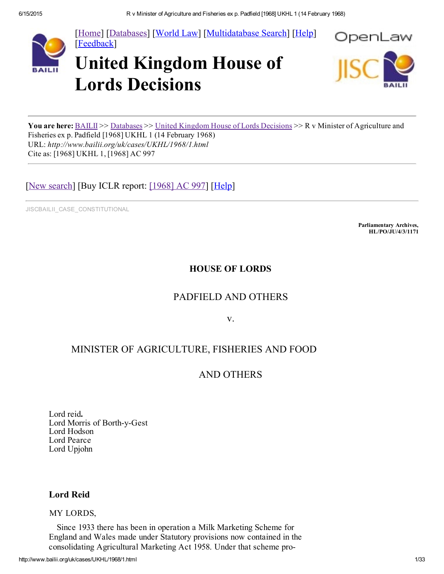[\[Home\]](http://www.bailii.org/) [[Databases\]](http://www.bailii.org/databases.html) [\[World](http://www.austlii.edu.au/links/World/) Law] [\[Multidatabase](http://www.bailii.org/form/search_multidatabase.html) Search] [\[Help\]](http://www.bailii.org/bailii/help/) [\[Feedback\]](http://www.bailii.org/bailii/feedback.html)

# United Kingdom House of Lords Decisions



You are here:  $BAILII \gg Databases \gg United Kingdom House of Lords Decisions \gg R v Minister of Agriculture and$  $BAILII \gg Databases \gg United Kingdom House of Lords Decisions \gg R v Minister of Agriculture and$  $BAILII \gg Databases \gg United Kingdom House of Lords Decisions \gg R v Minister of Agriculture and$  $BAILII \gg Databases \gg United Kingdom House of Lords Decisions \gg R v Minister of Agriculture and$  $BAILII \gg Databases \gg United Kingdom House of Lords Decisions \gg R v Minister of Agriculture and$  $BAILII \gg Databases \gg United Kingdom House of Lords Decisions \gg R v Minister of Agriculture and$ Fisheries ex p. Padfield [1968] UKHL 1 (14 February 1968) URL: http://www.bailii.org/uk/cases/UKHL/1968/1.html Cite as: [1968] UKHL 1, [1968] AC 997

[New [search\]](http://www.bailii.org/form/search_cases.html) [Buy ICLR report: [\[1968\]](https://shop.iclr.co.uk/Subscr/welcome.aspx?docId=XAC1968-1-997) AC 997] [\[Help\]](http://www.bailii.org/bailii/help/)

JISCBAILII CASE CONSTITUTIONAL

Parliamentary Archives, HL/PO/JU/4/3/1171

## HOUSE OF LORDS

# PADFIELD AND OTHERS

v.

# MINISTER OF AGRICULTURE, FISHERIES AND FOOD

# AND OTHERS

Lord reid. Lord Morris of Borth-y-Gest Lord Hodson Lord Pearce Lord Upjohn

## Lord Reid

## MY LORDS,

Since 1933 there has been in operation a Milk Marketing Scheme for England and Wales made under Statutory provisions now contained in the consolidating Agricultural Marketing Act 1958. Under that scheme pro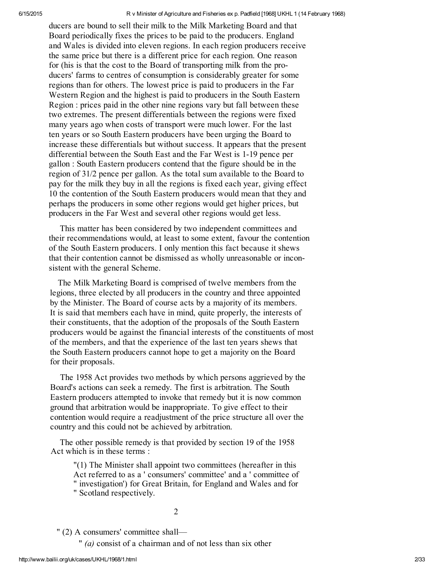ducers are bound to sell their milk to the Milk Marketing Board and that Board periodically fixes the prices to be paid to the producers. England and Wales is divided into eleven regions. In each region producers receive the same price but there is a different price for each region. One reason for (his is that the cost to the Board of transporting milk from the producers' farms to centres of consumption is considerably greater for some regions than for others. The lowest price is paid to producers in the Far Western Region and the highest is paid to producers in the South Eastern Region : prices paid in the other nine regions vary but fall between these two extremes. The present differentials between the regions were fixed many years ago when costs of transport were much lower. For the last ten years or so South Eastern producers have been urging the Board to increase these differentials but without success. It appears that the present differential between the South East and the Far West is 1-19 pence per gallon : South Eastern producers contend that the figure should be in the region of 31/2 pence per gallon. As the total sum available to the Board to pay for the milk they buy in all the regions is fixed each year, giving effect 10 the contention of the South Eastern producers would mean that they and perhaps the producers in some other regions would get higher prices, but producers in the Far West and several other regions would get less.

This matter has been considered by two independent committees and their recommendations would, at least to some extent, favour the contention of the South Eastern producers. I only mention this fact because it shews that their contention cannot be dismissed as wholly unreasonable or inconsistent with the general Scheme.

The Milk Marketing Board is comprised of twelve members from the legions, three elected by all producers in the country and three appointed by the Minister. The Board of course acts by a majority of its members. It is said that members each have in mind, quite properly, the interests of their constituents, that the adoption of the proposals of the South Eastern producers would be against the financial interests of the constituents of most of the members, and that the experience of the last ten years shews that the South Eastern producers cannot hope to get a majority on the Board for their proposals.

The 1958 Act provides two methods by which persons aggrieved by the Board's actions can seek a remedy. The first is arbitration. The South Eastern producers attempted to invoke that remedy but it is now common ground that arbitration would be inappropriate. To give effect to their contention would require a readjustment of the price structure all over the country and this could not be achieved by arbitration.

The other possible remedy is that provided by section 19 of the 1958 Act which is in these terms :

"(1) The Minister shall appoint two committees (hereafter in this Act referred to as a ' consumers' committee' and a ' committee of " investigation') for Great Britain, for England and Wales and for " Scotland respectively.

#### 2

" (2) A consumers' committee shall—

" (a) consist of a chairman and of not less than six other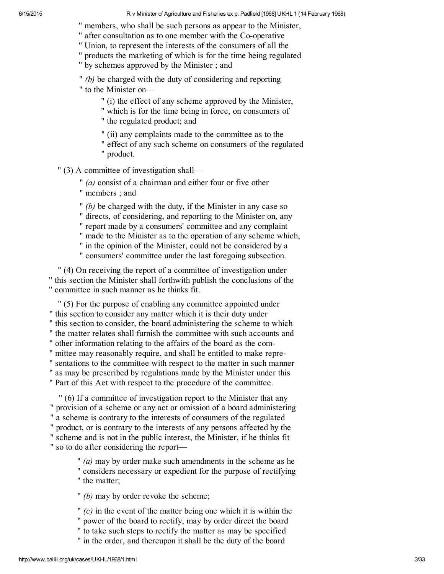- " members, who shall be such persons as appear to the Minister,
- " after consultation as to one member with the Co-operative
- " Union, to represent the interests of the consumers of all the
- " products the marketing of which is for the time being regulated

" by schemes approved by the Minister ; and

"  $(b)$  be charged with the duty of considering and reporting " to the Minister on—

- " (i) the effect of any scheme approved by the Minister,
- " which is for the time being in force, on consumers of
- " the regulated product; and
- " (ii) any complaints made to the committee as to the
- " effect of any such scheme on consumers of the regulated " product.

" (3) A committee of investigation shall—

" (a) consist of a chairman and either four or five other

" members ; and

- $''$  (b) be charged with the duty, if the Minister in any case so
- " directs, of considering, and reporting to the Minister on, any
- " report made by a consumers' committee and any complaint
- " made to the Minister as to the operation of any scheme which,
- " in the opinion of the Minister, could not be considered by a
- " consumers' committee under the last foregoing subsection.

" (4) On receiving the report of a committee of investigation under " this section the Minister shall forthwith publish the conclusions of the " committee in such manner as he thinks fit.

" (5) For the purpose of enabling any committee appointed under " this section to consider any matter which it is their duty under " this section to consider, the board administering the scheme to which " the matter relates shall furnish the committee with such accounts and " other information relating to the affairs of the board as the com " mittee may reasonably require, and shall be entitled to make repre " sentations to the committee with respect to the matter in such manner " as may be prescribed by regulations made by the Minister under this " Part of this Act with respect to the procedure of the committee.

" (6) If a committee of investigation report to the Minister that any " provision of a scheme or any act or omission of a board administering " a scheme is contrary to the interests of consumers of the regulated " product, or is contrary to the interests of any persons affected by the " scheme and is not in the public interest, the Minister, if he thinks fit " so to do after considering the report—

> "  $(a)$  may by order make such amendments in the scheme as he " considers necessary or expedient for the purpose of rectifying " the matter;

- " *(b)* may by order revoke the scheme;
- "  $(c)$  in the event of the matter being one which it is within the
- " power of the board to rectify, may by order direct the board
- " to take such steps to rectify the matter as may be specified
- " in the order, and thereupon it shall be the duty of the board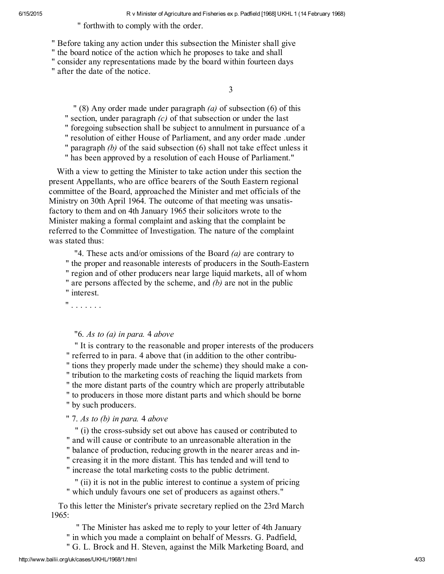" forthwith to comply with the order.

- " Before taking any action under this subsection the Minister shall give
- " the board notice of the action which he proposes to take and shall
- " consider any representations made by the board within fourteen days

" after the date of the notice.

3

" (8) Any order made under paragraph  $(a)$  of subsection (6) of this

- " section, under paragraph  $(c)$  of that subsection or under the last
- " foregoing subsection shall be subject to annulment in pursuance of a
- " resolution of either House of Parliament, and any order made .under
- " paragraph  $(b)$  of the said subsection  $(6)$  shall not take effect unless it
- " has been approved by a resolution of each House of Parliament."

With a view to getting the Minister to take action under this section the present Appellants, who are office bearers of the South Eastern regional committee of the Board, approached the Minister and met officials of the Ministry on 30th April 1964. The outcome of that meeting was unsatisfactory to them and on 4th January 1965 their solicitors wrote to the Minister making a formal complaint and asking that the complaint be referred to the Committee of Investigation. The nature of the complaint was stated thus:

"4. These acts and/or omissions of the Board  $(a)$  are contrary to " the proper and reasonable interests of producers in the South-Eastern " region and of other producers near large liquid markets, all of whom " are persons affected by the scheme, and  $(b)$  are not in the public

- " interest.
- " . . . . . . .

### "6. As to  $(a)$  in para. 4 above

" It is contrary to the reasonable and proper interests of the producers " referred to in para. 4 above that (in addition to the other contribu " tions they properly made under the scheme) they should make a con " tribution to the marketing costs of reaching the liquid markets from " the more distant parts of the country which are properly attributable " to producers in those more distant parts and which should be borne " by such producers.

"  $7. As to (b)$  in para. 4 above

" (i) the cross-subsidy set out above has caused or contributed to

- " and will cause or contribute to an unreasonable alteration in the
- " balance of production, reducing growth in the nearer areas and in
- " creasing it in the more distant. This has tended and will tend to
- " increase the total marketing costs to the public detriment.

" (ii) it is not in the public interest to continue a system of pricing " which unduly favours one set of producers as against others."

To this letter the Minister's private secretary replied on the 23rd March 1965:

" The Minister has asked me to reply to your letter of 4th January " in which you made a complaint on behalf of Messrs. G. Padfield,

" G. L. Brock and H. Steven, against the Milk Marketing Board, and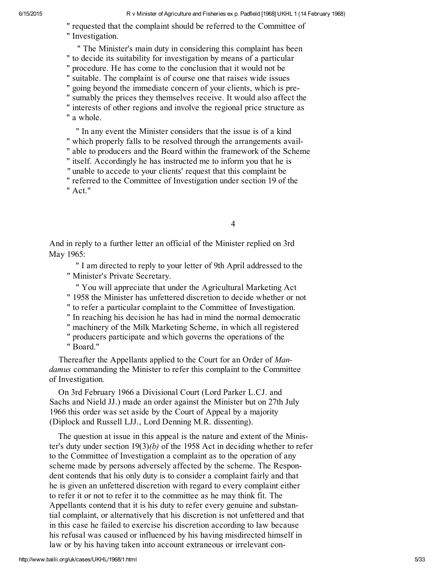" requested that the complaint should be referred to the Committee of " Investigation.

" The Minister's main duty in considering this complaint has been " to decide its suitability for investigation by means of a particular " procedure. He has come to the conclusion that it would not be " suitable. The complaint is of course one that raises wide issues " going beyond the immediate concern of your clients, which is pre " sumably the prices they themselves receive. It would also affect the " interests of other regions and involve the regional price structure as " a whole.

" In any event the Minister considers that the issue is of a kind " which properly falls to be resolved through the arrangements avail " able to producers and the Board within the framework of the Scheme " itself. Accordingly he has instructed me to inform you that he is " unable to accede to your clients' request that this complaint be " referred to the Committee of Investigation under section 19 of the " Act."

4

And in reply to a further letter an official of the Minister replied on 3rd May 1965:

" I am directed to reply to your letter of 9th April addressed to the " Minister's Private Secretary.

" You will appreciate that under the Agricultural Marketing Act

- " 1958 the Minister has unfettered discretion to decide whether or not
- " to refer a particular complaint to the Committee of Investigation.
- " In reaching his decision he has had in mind the normal democratic
- " machinery of the Milk Marketing Scheme, in which all registered
- " producers participate and which governs the operations of the " Board."
- 

Thereafter the Appellants applied to the Court for an Order of Mandamus commanding the Minister to refer this complaint to the Committee of Investigation.

On 3rd February 1966 a Divisional Court (Lord Parker L.CJ. and Sachs and Nield JJ.) made an order against the Minister but on 27th July 1966 this order was set aside by the Court of Appeal by a majority (Diplock and Russell LJJ., Lord Denning M.R. dissenting).

The question at issue in this appeal is the nature and extent of the Minister's duty under section 19(3)(b) of the 1958 Act in deciding whether to refer to the Committee of Investigation a complaint as to the operation of any scheme made by persons adversely affected by the scheme. The Respondent contends that his only duty is to consider a complaint fairly and that he is given an unfettered discretion with regard to every complaint either to refer it or not to refer it to the committee as he may think fit. The Appellants contend that it is his duty to refer every genuine and substantial complaint, or alternatively that his discretion is not unfettered and that in this case he failed to exercise his discretion according to law because his refusal was caused or influenced by his having misdirected himself in law or by his having taken into account extraneous or irrelevant con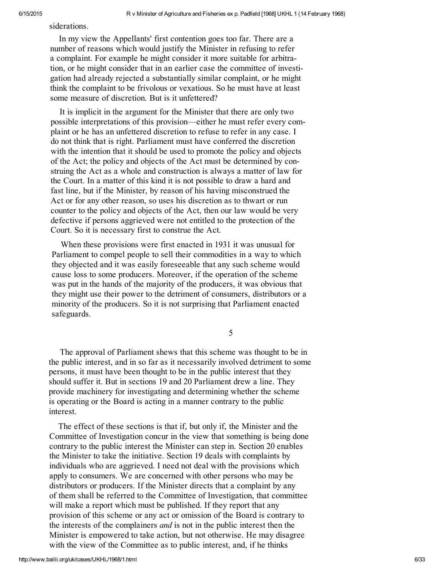siderations.

In my view the Appellants' first contention goes too far. There are a number of reasons which would justify the Minister in refusing to refer a complaint. For example he might consider it more suitable for arbitration, or he might consider that in an earlier case the committee of investigation had already rejected a substantially similar complaint, or he might think the complaint to be frivolous or vexatious. So he must have at least some measure of discretion. But is it unfettered?

It is implicit in the argument for the Minister that there are only two possible interpretations of this provision—either he must refer every complaint or he has an unfettered discretion to refuse to refer in any case. I do not think that is right. Parliament must have conferred the discretion with the intention that it should be used to promote the policy and objects of the Act; the policy and objects of the Act must be determined by construing the Act as a whole and construction is always a matter of law for the Court. In a matter of this kind it is not possible to draw a hard and fast line, but if the Minister, by reason of his having misconstrued the Act or for any other reason, so uses his discretion as to thwart or run counter to the policy and objects of the Act, then our law would be very defective if persons aggrieved were not entitled to the protection of the Court. So it is necessary first to construe the Act.

When these provisions were first enacted in 1931 it was unusual for Parliament to compel people to sell their commodities in a way to which they objected and it was easily foreseeable that any such scheme would cause loss to some producers. Moreover, if the operation of the scheme was put in the hands of the majority of the producers, it was obvious that they might use their power to the detriment of consumers, distributors or a minority of the producers. So it is not surprising that Parliament enacted safeguards.

5

The approval of Parliament shews that this scheme was thought to be in the public interest, and in so far as it necessarily involved detriment to some persons, it must have been thought to be in the public interest that they should suffer it. But in sections 19 and 20 Parliament drew a line. They provide machinery for investigating and determining whether the scheme is operating or the Board is acting in a manner contrary to the public interest.

The effect of these sections is that if, but only if, the Minister and the Committee of Investigation concur in the view that something is being done contrary to the public interest the Minister can step in. Section 20 enables the Minister to take the initiative. Section 19 deals with complaints by individuals who are aggrieved. I need not deal with the provisions which apply to consumers. We are concerned with other persons who may be distributors or producers. If the Minister directs that a complaint by any of them shall be referred to the Committee of Investigation, that committee will make a report which must be published. If they report that any provision of this scheme or any act or omission of the Board is contrary to the interests of the complainers and is not in the public interest then the Minister is empowered to take action, but not otherwise. He may disagree with the view of the Committee as to public interest, and, if he thinks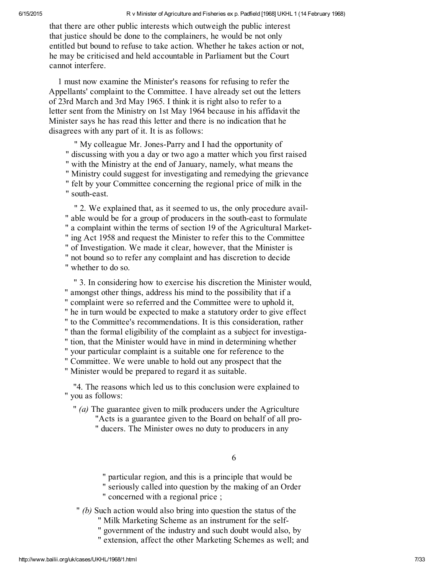that there are other public interests which outweigh the public interest that justice should be done to the complainers, he would be not only entitled but bound to refuse to take action. Whether he takes action or not, he may be criticised and held accountable in Parliament but the Court cannot interfere.

1 must now examine the Minister's reasons for refusing to refer the Appellants' complaint to the Committee. I have already set out the letters of 23rd March and 3rd May 1965. I think it is right also to refer to a letter sent from the Ministry on 1st May 1964 because in his affidavit the Minister says he has read this letter and there is no indication that he disagrees with any part of it. It is as follows:

" My colleague Mr. Jones-Parry and I had the opportunity of " discussing with you a day or two ago a matter which you first raised " with the Ministry at the end of January, namely, what means the " Ministry could suggest for investigating and remedying the grievance " felt by your Committee concerning the regional price of milk in the " south-east.

" 2. We explained that, as it seemed to us, the only procedure avail " able would be for a group of producers in the south-east to formulate " a complaint within the terms of section 19 of the Agricultural Market " ing Act 1958 and request the Minister to refer this to the Committee " of Investigation. We made it clear, however, that the Minister is " not bound so to refer any complaint and has discretion to decide " whether to do so.

" 3. In considering how to exercise his discretion the Minister would, " amongst other things, address his mind to the possibility that if a " complaint were so referred and the Committee were to uphold it, " he in turn would be expected to make a statutory order to give effect " to the Committee's recommendations. It is this consideration, rather " than the formal eligibility of the complaint as a subject for investiga " tion, that the Minister would have in mind in determining whether " your particular complaint is a suitable one for reference to the " Committee. We were unable to hold out any prospect that the " Minister would be prepared to regard it as suitable.

"4. The reasons which led us to this conclusion were explained to " you as follows:

" (a) The guarantee given to milk producers under the Agriculture "Acts is a guarantee given to the Board on behalf of all pro " ducers. The Minister owes no duty to producers in any

## 6

" particular region, and this is a principle that would be

" seriously called into question by the making of an Order " concerned with a regional price ;

 $\mu$  (b) Such action would also bring into question the status of the

- " Milk Marketing Scheme as an instrument for the self
- " government of the industry and such doubt would also, by
- " extension, affect the other Marketing Schemes as well; and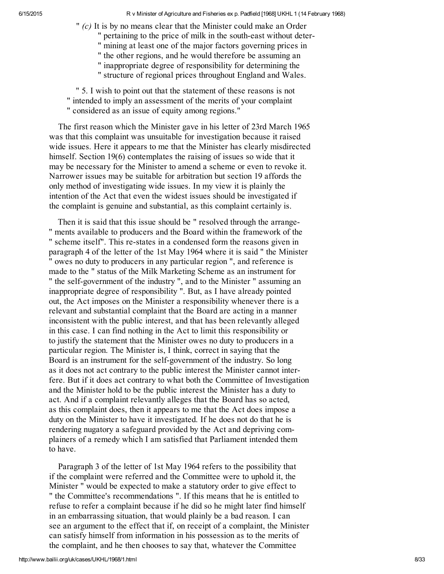- "  $(c)$  It is by no means clear that the Minister could make an Order
	- " pertaining to the price of milk in the southeast without deter
	- " mining at least one of the major factors governing prices in
	- " the other regions, and he would therefore be assuming an
	- " inappropriate degree of responsibility for determining the
	- " structure of regional prices throughout England and Wales.
- " 5. I wish to point out that the statement of these reasons is not
- " intended to imply an assessment of the merits of your complaint
- " considered as an issue of equity among regions."

The first reason which the Minister gave in his letter of 23rd March 1965 was that this complaint was unsuitable for investigation because it raised wide issues. Here it appears to me that the Minister has clearly misdirected himself. Section 19(6) contemplates the raising of issues so wide that it may be necessary for the Minister to amend a scheme or even to revoke it. Narrower issues may be suitable for arbitration but section 19 affords the only method of investigating wide issues. In my view it is plainly the intention of the Act that even the widest issues should be investigated if the complaint is genuine and substantial, as this complaint certainly is.

Then it is said that this issue should be " resolved through the arrange " ments available to producers and the Board within the framework of the " scheme itself". This re-states in a condensed form the reasons given in paragraph 4 of the letter of the 1st May 1964 where it is said " the Minister " owes no duty to producers in any particular region ", and reference is made to the " status of the Milk Marketing Scheme as an instrument for " the self-government of the industry ", and to the Minister " assuming an inappropriate degree of responsibility ". But, as I have already pointed out, the Act imposes on the Minister a responsibility whenever there is a relevant and substantial complaint that the Board are acting in a manner inconsistent with the public interest, and that has been relevantly alleged in this case. I can find nothing in the Act to limit this responsibility or to justify the statement that the Minister owes no duty to producers in a particular region. The Minister is, I think, correct in saying that the Board is an instrument for the self-government of the industry. So long as it does not act contrary to the public interest the Minister cannot interfere. But if it does act contrary to what both the Committee of Investigation and the Minister hold to be the public interest the Minister has a duty to act. And if a complaint relevantly alleges that the Board has so acted, as this complaint does, then it appears to me that the Act does impose a duty on the Minister to have it investigated. If he does not do that he is rendering nugatory a safeguard provided by the Act and depriving complainers of a remedy which I am satisfied that Parliament intended them to have.

Paragraph 3 of the letter of 1st May 1964 refers to the possibility that if the complaint were referred and the Committee were to uphold it, the Minister " would be expected to make a statutory order to give effect to " the Committee's recommendations ". If this means that he is entitled to refuse to refer a complaint because if he did so he might later find himself in an embarrassing situation, that would plainly be a bad reason. I can see an argument to the effect that if, on receipt of a complaint, the Minister can satisfy himself from information in his possession as to the merits of the complaint, and he then chooses to say that, whatever the Committee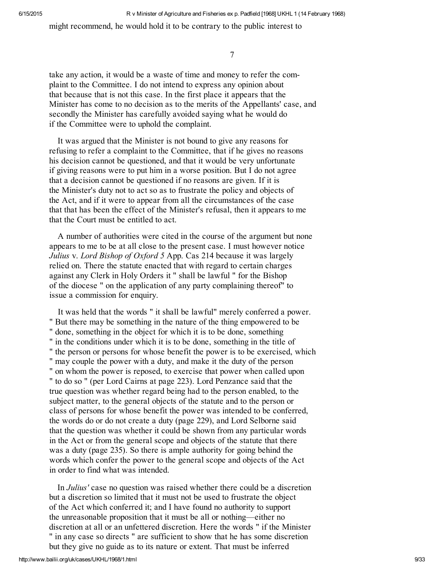might recommend, he would hold it to be contrary to the public interest to

7

take any action, it would be a waste of time and money to refer the complaint to the Committee. I do not intend to express any opinion about that because that is not this case. In the first place it appears that the Minister has come to no decision as to the merits of the Appellants' case, and secondly the Minister has carefully avoided saying what he would do if the Committee were to uphold the complaint.

It was argued that the Minister is not bound to give any reasons for refusing to refer a complaint to the Committee, that if he gives no reasons his decision cannot be questioned, and that it would be very unfortunate if giving reasons were to put him in a worse position. But I do not agree that a decision cannot be questioned if no reasons are given. If it is the Minister's duty not to act so as to frustrate the policy and objects of the Act, and if it were to appear from all the circumstances of the case that that has been the effect of the Minister's refusal, then it appears to me that the Court must be entitled to act.

A number of authorities were cited in the course of the argument but none appears to me to be at all close to the present case. I must however notice Julius v. Lord Bishop of Oxford 5 App. Cas 214 because it was largely relied on. There the statute enacted that with regard to certain charges against any Clerk in Holy Orders it " shall be lawful " for the Bishop of the diocese " on the application of any party complaining thereof" to issue a commission for enquiry.

It was held that the words " it shall be lawful" merely conferred a power. " But there may be something in the nature of the thing empowered to be " done, something in the object for which it is to be done, something " in the conditions under which it is to be done, something in the title of " the person or persons for whose benefit the power is to be exercised, which " may couple the power with a duty, and make it the duty of the person " on whom the power is reposed, to exercise that power when called upon " to do so " (per Lord Cairns at page 223). Lord Penzance said that the true question was whether regard being had to the person enabled, to the subject matter, to the general objects of the statute and to the person or class of persons for whose benefit the power was intended to be conferred, the words do or do not create a duty (page 229), and Lord Selborne said that the question was whether it could be shown from any particular words in the Act or from the general scope and objects of the statute that there was a duty (page 235). So there is ample authority for going behind the words which confer the power to the general scope and objects of the Act in order to find what was intended.

In *Julius'* case no question was raised whether there could be a discretion but a discretion so limited that it must not be used to frustrate the object of the Act which conferred it; and I have found no authority to support the unreasonable proposition that it must be all or nothing—either no discretion at all or an unfettered discretion. Here the words " if the Minister " in any case so directs " are sufficient to show that he has some discretion but they give no guide as to its nature or extent. That must be inferred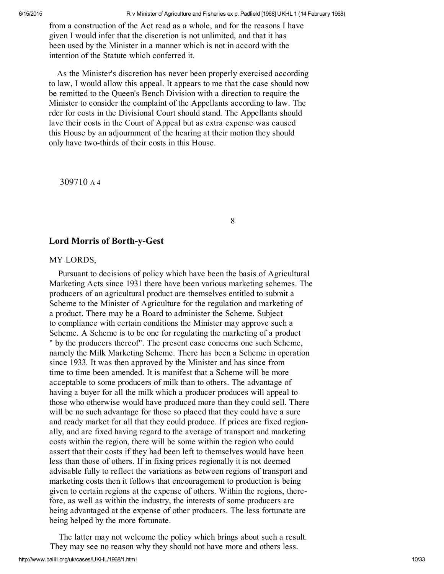from a construction of the Act read as a whole, and for the reasons I have given I would infer that the discretion is not unlimited, and that it has been used by the Minister in a manner which is not in accord with the intention of the Statute which conferred it.

As the Minister's discretion has never been properly exercised according to law, I would allow this appeal. It appears to me that the case should now be remitted to the Queen's Bench Division with a direction to require the Minister to consider the complaint of the Appellants according to law. The rder for costs in the Divisional Court should stand. The Appellants should lave their costs in the Court of Appeal but as extra expense was caused this House by an adjournment of the hearing at their motion they should only have two-thirds of their costs in this House.

309710 A 4

8

#### Lord Morris of Borth-y-Gest

#### MY LORDS,

Pursuant to decisions of policy which have been the basis of Agricultural Marketing Acts since 1931 there have been various marketing schemes. The producers of an agricultural product are themselves entitled to submit a Scheme to the Minister of Agriculture for the regulation and marketing of a product. There may be a Board to administer the Scheme. Subject to compliance with certain conditions the Minister may approve such a Scheme. A Scheme is to be one for regulating the marketing of a product " by the producers thereof". The present case concerns one such Scheme, namely the Milk Marketing Scheme. There has been a Scheme in operation since 1933. It was then approved by the Minister and has since from time to time been amended. It is manifest that a Scheme will be more acceptable to some producers of milk than to others. The advantage of having a buyer for all the milk which a producer produces will appeal to those who otherwise would have produced more than they could sell. There will be no such advantage for those so placed that they could have a sure and ready market for all that they could produce. If prices are fixed regionally, and are fixed having regard to the average of transport and marketing costs within the region, there will be some within the region who could assert that their costs if they had been left to themselves would have been less than those of others. If in fixing prices regionally it is not deemed advisable fully to reflect the variations as between regions of transport and marketing costs then it follows that encouragement to production is being given to certain regions at the expense of others. Within the regions, therefore, as well as within the industry, the interests of some producers are being advantaged at the expense of other producers. The less fortunate are being helped by the more fortunate.

The latter may not welcome the policy which brings about such a result. They may see no reason why they should not have more and others less.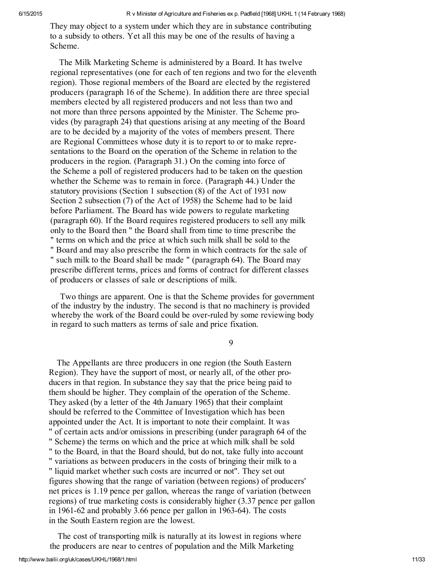They may object to a system under which they are in substance contributing to a subsidy to others. Yet all this may be one of the results of having a Scheme.

The Milk Marketing Scheme is administered by a Board. It has twelve regional representatives (one for each of ten regions and two for the eleventh region). Those regional members of the Board are elected by the registered producers (paragraph 16 of the Scheme). In addition there are three special members elected by all registered producers and not less than two and not more than three persons appointed by the Minister. The Scheme provides (by paragraph 24) that questions arising at any meeting of the Board are to be decided by a majority of the votes of members present. There are Regional Committees whose duty it is to report to or to make representations to the Board on the operation of the Scheme in relation to the producers in the region. (Paragraph 31.) On the coming into force of the Scheme a poll of registered producers had to be taken on the question whether the Scheme was to remain in force. (Paragraph 44.) Under the statutory provisions (Section 1 subsection (8) of the Act of 1931 now Section 2 subsection (7) of the Act of 1958) the Scheme had to be laid before Parliament. The Board has wide powers to regulate marketing (paragraph 60). If the Board requires registered producers to sell any milk only to the Board then " the Board shall from time to time prescribe the " terms on which and the price at which such milk shall be sold to the " Board and may also prescribe the form in which contracts for the sale of " such milk to the Board shall be made " (paragraph 64). The Board may prescribe different terms, prices and forms of contract for different classes of producers or classes of sale or descriptions of milk.

Two things are apparent. One is that the Scheme provides for government of the industry by the industry. The second is that no machinery is provided whereby the work of the Board could be over-ruled by some reviewing body in regard to such matters as terms of sale and price fixation.

9

The Appellants are three producers in one region (the South Eastern Region). They have the support of most, or nearly all, of the other producers in that region. In substance they say that the price being paid to them should be higher. They complain of the operation of the Scheme. They asked (by a letter of the 4th January 1965) that their complaint should be referred to the Committee of Investigation which has been appointed under the Act. It is important to note their complaint. It was " of certain acts and/or omissions in prescribing (under paragraph 64 of the " Scheme) the terms on which and the price at which milk shall be sold " to the Board, in that the Board should, but do not, take fully into account " variations as between producers in the costs of bringing their milk to a " liquid market whether such costs are incurred or not". They set out figures showing that the range of variation (between regions) of producers' net prices is 1.19 pence per gallon, whereas the range of variation (between regions) of true marketing costs is considerably higher (3.37 pence per gallon in  $1961-62$  and probably 3.66 pence per gallon in 1963-64). The costs in the South Eastern region are the lowest.

The cost of transporting milk is naturally at its lowest in regions where the producers are near to centres of population and the Milk Marketing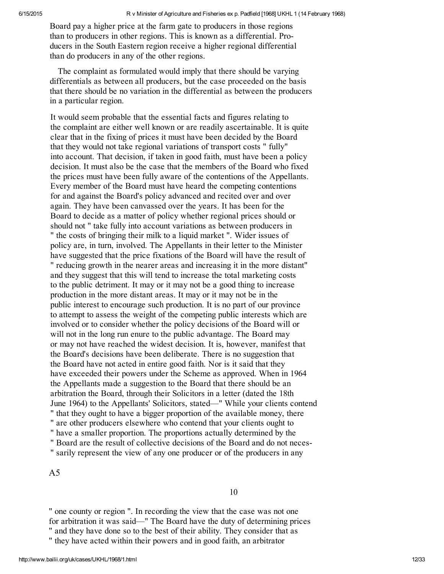Board pay a higher price at the farm gate to producers in those regions than to producers in other regions. This is known as a differential. Producers in the South Eastern region receive a higher regional differential than do producers in any of the other regions.

The complaint as formulated would imply that there should be varying differentials as between all producers, but the case proceeded on the basis that there should be no variation in the differential as between the producers in a particular region.

It would seem probable that the essential facts and figures relating to the complaint are either well known or are readily ascertainable. It is quite clear that in the fixing of prices it must have been decided by the Board that they would not take regional variations of transport costs " fully" into account. That decision, if taken in good faith, must have been a policy decision. It must also be the case that the members of the Board who fixed the prices must have been fully aware of the contentions of the Appellants. Every member of the Board must have heard the competing contentions for and against the Board's policy advanced and recited over and over again. They have been canvassed over the years. It has been for the Board to decide as a matter of policy whether regional prices should or should not " take fully into account variations as between producers in " the costs of bringing their milk to a liquid market ". Wider issues of policy are, in turn, involved. The Appellants in their letter to the Minister have suggested that the price fixations of the Board will have the result of " reducing growth in the nearer areas and increasing it in the more distant" and they suggest that this will tend to increase the total marketing costs to the public detriment. It may or it may not be a good thing to increase production in the more distant areas. It may or it may not be in the public interest to encourage such production. It is no part of our province to attempt to assess the weight of the competing public interests which are involved or to consider whether the policy decisions of the Board will or will not in the long run enure to the public advantage. The Board may or may not have reached the widest decision. It is, however, manifest that the Board's decisions have been deliberate. There is no suggestion that the Board have not acted in entire good faith. Nor is it said that they have exceeded their powers under the Scheme as approved. When in 1964 the Appellants made a suggestion to the Board that there should be an arbitration the Board, through their Solicitors in a letter (dated the 18th June 1964) to the Appellants' Solicitors, stated—" While your clients contend " that they ought to have a bigger proportion of the available money, there " are other producers elsewhere who contend that your clients ought to " have a smaller proportion. The proportions actually determined by the " Board are the result of collective decisions of the Board and do not neces " sarily represent the view of any one producer or of the producers in any

 $A<sub>5</sub>$ 

10

" one county or region ". In recording the view that the case was not one for arbitration it was said—" The Board have the duty of determining prices " and they have done so to the best of their ability. They consider that as

" they have acted within their powers and in good faith, an arbitrator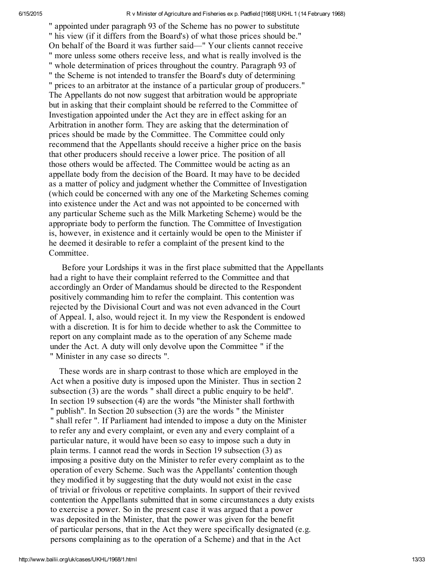" appointed under paragraph 93 of the Scheme has no power to substitute " his view (if it differs from the Board's) of what those prices should be." On behalf of the Board it was further said—" Your clients cannot receive " more unless some others receive less, and what is really involved is the " whole determination of prices throughout the country. Paragraph 93 of " the Scheme is not intended to transfer the Board's duty of determining " prices to an arbitrator at the instance of a particular group of producers." The Appellants do not now suggest that arbitration would be appropriate but in asking that their complaint should be referred to the Committee of Investigation appointed under the Act they are in effect asking for an Arbitration in another form. They are asking that the determination of prices should be made by the Committee. The Committee could only recommend that the Appellants should receive a higher price on the basis that other producers should receive a lower price. The position of all those others would be affected. The Committee would be acting as an appellate body from the decision of the Board. It may have to be decided as a matter of policy and judgment whether the Committee of Investigation (which could be concerned with any one of the Marketing Schemes coming into existence under the Act and was not appointed to be concerned with any particular Scheme such as the Milk Marketing Scheme) would be the appropriate body to perform the function. The Committee of Investigation is, however, in existence and it certainly would be open to the Minister if he deemed it desirable to refer a complaint of the present kind to the Committee.

Before your Lordships it was in the first place submitted that the Appellants had a right to have their complaint referred to the Committee and that accordingly an Order of Mandamus should be directed to the Respondent positively commanding him to refer the complaint. This contention was rejected by the Divisional Court and was not even advanced in the Court of Appeal. I, also, would reject it. In my view the Respondent is endowed with a discretion. It is for him to decide whether to ask the Committee to report on any complaint made as to the operation of any Scheme made under the Act. A duty will only devolve upon the Committee " if the " Minister in any case so directs ".

These words are in sharp contrast to those which are employed in the Act when a positive duty is imposed upon the Minister. Thus in section 2 subsection (3) are the words " shall direct a public enquiry to be held". In section 19 subsection (4) are the words "the Minister shall forthwith " publish". In Section 20 subsection (3) are the words " the Minister " shall refer ". If Parliament had intended to impose a duty on the Minister to refer any and every complaint, or even any and every complaint of a particular nature, it would have been so easy to impose such a duty in plain terms. I cannot read the words in Section 19 subsection (3) as imposing a positive duty on the Minister to refer every complaint as to the operation of every Scheme. Such was the Appellants' contention though they modified it by suggesting that the duty would not exist in the case of trivial or frivolous or repetitive complaints. In support of their revived contention the Appellants submitted that in some circumstances a duty exists to exercise a power. So in the present case it was argued that a power was deposited in the Minister, that the power was given for the benefit of particular persons, that in the Act they were specifically designated (e.g. persons complaining as to the operation of a Scheme) and that in the Act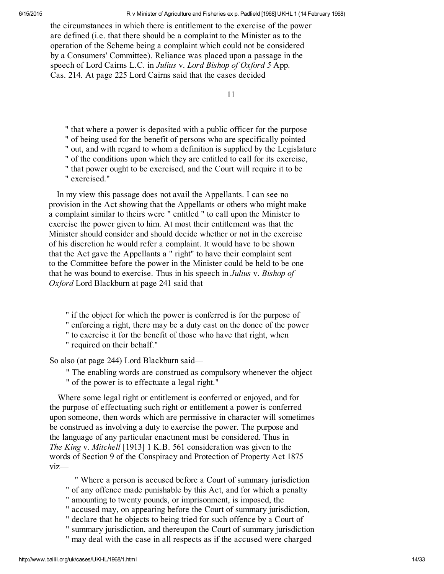the circumstances in which there is entitlement to the exercise of the power are defined (i.e. that there should be a complaint to the Minister as to the operation of the Scheme being a complaint which could not be considered by a Consumers' Committee). Reliance was placed upon a passage in the speech of Lord Cairns L.C. in Julius v. Lord Bishop of Oxford 5 App. Cas. 214. At page 225 Lord Cairns said that the cases decided

11

- " that where a power is deposited with a public officer for the purpose
- " of being used for the benefit of persons who are specifically pointed
- " out, and with regard to whom a definition is supplied by the Legislature
- " of the conditions upon which they are entitled to call for its exercise,
- " that power ought to be exercised, and the Court will require it to be
- " exercised."

In my view this passage does not avail the Appellants. I can see no provision in the Act showing that the Appellants or others who might make a complaint similar to theirs were " entitled " to call upon the Minister to exercise the power given to him. At most their entitlement was that the Minister should consider and should decide whether or not in the exercise of his discretion he would refer a complaint. It would have to be shown that the Act gave the Appellants a " right" to have their complaint sent to the Committee before the power in the Minister could be held to be one that he was bound to exercise. Thus in his speech in Julius v. Bishop of Oxford Lord Blackburn at page 241 said that

" if the object for which the power is conferred is for the purpose of

" enforcing a right, there may be a duty cast on the donee of the power

" to exercise it for the benefit of those who have that right, when

" required on their behalf."

So also (at page 244) Lord Blackburn said—

" The enabling words are construed as compulsory whenever the object " of the power is to effectuate a legal right."

Where some legal right or entitlement is conferred or enjoyed, and for the purpose of effectuating such right or entitlement a power is conferred upon someone, then words which are permissive in character will sometimes be construed as involving a duty to exercise the power. The purpose and the language of any particular enactment must be considered. Thus in The King v. Mitchell [1913] 1 K.B. 561 consideration was given to the words of Section 9 of the Conspiracy and Protection of Property Act 1875 viz—

" Where a person is accused before a Court of summary jurisdiction

- " of any offence made punishable by this Act, and for which a penalty
- " amounting to twenty pounds, or imprisonment, is imposed, the

" accused may, on appearing before the Court of summary jurisdiction,

" declare that he objects to being tried for such offence by a Court of

" summary jurisdiction, and thereupon the Court of summary jurisdiction

" may deal with the case in all respects as if the accused were charged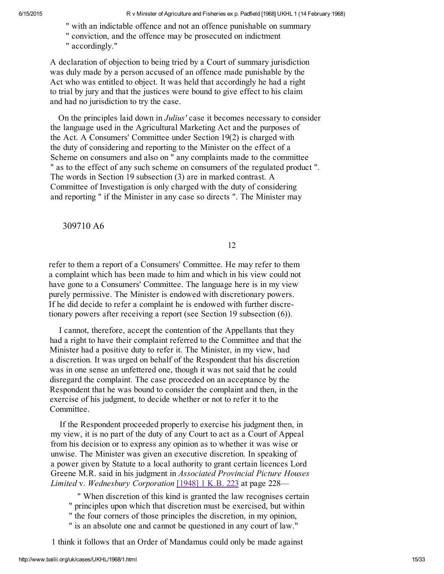6/15/2015 R v Minister of Agriculture and Fisheries ex p. Padfield [1968] UKHL 1 (14 February 1968)

- " with an indictable offence and not an offence punishable on summary
- " conviction, and the offence may be prosecuted on indictment
- " accordingly."

A declaration of objection to being tried by a Court of summary jurisdiction was duly made by a person accused of an offence made punishable by the Act who was entitled to object. It was held that accordingly he had a right to trial by jury and that the justices were bound to give effect to his claim and had no jurisdiction to try the case.

On the principles laid down in Julius' case it becomes necessary to consider the language used in the Agricultural Marketing Act and the purposes of the Act. A Consumers' Committee under Section 19(2) is charged with the duty of considering and reporting to the Minister on the effect of a Scheme on consumers and also on " any complaints made to the committee " as to the effect of any such scheme on consumers of the regulated product ". The words in Section 19 subsection (3) are in marked contrast. A Committee of Investigation is only charged with the duty of considering and reporting " if the Minister in any case so directs ". The Minister may

309710 A6

12

refer to them a report of a Consumers' Committee. He may refer to them a complaint which has been made to him and which in his view could not have gone to a Consumers' Committee. The language here is in my view purely permissive. The Minister is endowed with discretionary powers. If he did decide to refer a complaint he is endowed with further discretionary powers after receiving a report (see Section 19 subsection (6)).

I cannot, therefore, accept the contention of the Appellants that they had a right to have their complaint referred to the Committee and that the Minister had a positive duty to refer it. The Minister, in my view, had a discretion. It was urged on behalf of the Respondent that his discretion was in one sense an unfettered one, though it was not said that he could disregard the complaint. The case proceeded on an acceptance by the Respondent that he was bound to consider the complaint and then, in the exercise of his judgment, to decide whether or not to refer it to the Committee.

If the Respondent proceeded properly to exercise his judgment then, in my view, it is no part of the duty of any Court to act as a Court of Appeal from his decision or to express any opinion as to whether it was wise or unwise. The Minister was given an executive discretion. In speaking of a power given by Statute to a local authority to grant certain licences Lord Greene M.R. said in his judgment in Associated Provincial Picture Houses Limited v. Wednesbury Corporation [\[1948\]](http://www.bailii.org/ew/cases/EWCA/Civ/1947/1.html) 1 K.B. 223 at page 228—

" When discretion of this kind is granted the law recognises certain

" principles upon which that discretion must be exercised, but within

" the four corners of those principles the discretion, in my opinion,

" is an absolute one and cannot be questioned in any court of law."

1 think it follows that an Order of Mandamus could only be made against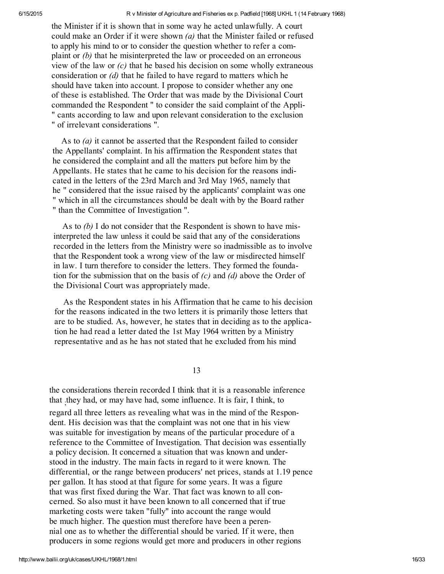the Minister if it is shown that in some way he acted unlawfully. A court could make an Order if it were shown  $(a)$  that the Minister failed or refused to apply his mind to or to consider the question whether to refer a complaint or (b) that he misinterpreted the law or proceeded on an erroneous view of the law or  $(c)$  that he based his decision on some wholly extraneous consideration or (d) that he failed to have regard to matters which he should have taken into account. I propose to consider whether any one of these is established. The Order that was made by the Divisional Court commanded the Respondent " to consider the said complaint of the Appli " cants according to law and upon relevant consideration to the exclusion " of irrelevant considerations ".

As to (a) it cannot be asserted that the Respondent failed to consider the Appellants' complaint. In his affirmation the Respondent states that he considered the complaint and all the matters put before him by the Appellants. He states that he came to his decision for the reasons indicated in the letters of the 23rd March and 3rd May 1965, namely that he " considered that the issue raised by the applicants' complaint was one " which in all the circumstances should be dealt with by the Board rather " than the Committee of Investigation ".

As to  $(b)$  I do not consider that the Respondent is shown to have misinterpreted the law unless it could be said that any of the considerations recorded in the letters from the Ministry were so inadmissible as to involve that the Respondent took a wrong view of the law or misdirected himself in law. I turn therefore to consider the letters. They formed the foundation for the submission that on the basis of  $(c)$  and  $(d)$  above the Order of the Divisional Court was appropriately made.

As the Respondent states in his Affirmation that he came to his decision for the reasons indicated in the two letters it is primarily those letters that are to be studied. As, however, he states that in deciding as to the application he had read a letter dated the 1st May 1964 written by a Ministry representative and as he has not stated that he excluded from his mind

13

the considerations therein recorded I think that it is a reasonable inference that they had, or may have had, some influence. It is fair, I think, to regard all three letters as revealing what was in the mind of the Respondent. His decision was that the complaint was not one that in his view was suitable for investigation by means of the particular procedure of a reference to the Committee of Investigation. That decision was essentially a policy decision. It concerned a situation that was known and understood in the industry. The main facts in regard to it were known. The differential, or the range between producers' net prices, stands at 1.19 pence per gallon. It has stood at that figure for some years. It was a figure that was first fixed during the War. That fact was known to all concerned. So also must it have been known to all concerned that if true marketing costs were taken "fully" into account the range would be much higher. The question must therefore have been a perennial one as to whether the differential should be varied. If it were, then producers in some regions would get more and producers in other regions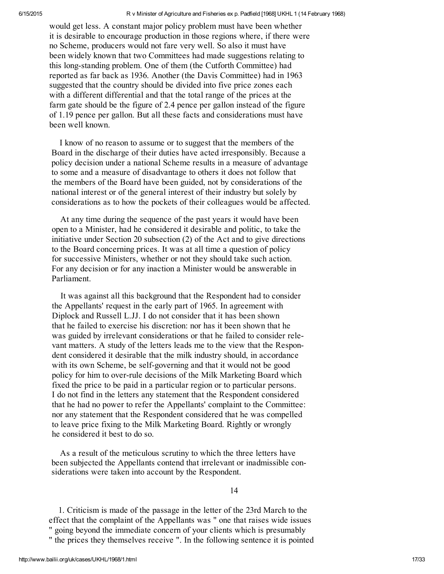would get less. A constant major policy problem must have been whether it is desirable to encourage production in those regions where, if there were no Scheme, producers would not fare very well. So also it must have been widely known that two Committees had made suggestions relating to this long-standing problem. One of them (the Cutforth Committee) had reported as far back as 1936. Another (the Davis Committee) had in 1963 suggested that the country should be divided into five price zones each with a different differential and that the total range of the prices at the farm gate should be the figure of 2.4 pence per gallon instead of the figure of 1.19 pence per gallon. But all these facts and considerations must have been well known.

I know of no reason to assume or to suggest that the members of the Board in the discharge of their duties have acted irresponsibly. Because a policy decision under a national Scheme results in a measure of advantage to some and a measure of disadvantage to others it does not follow that the members of the Board have been guided, not by considerations of the national interest or of the general interest of their industry but solely by considerations as to how the pockets of their colleagues would be affected.

At any time during the sequence of the past years it would have been open to a Minister, had he considered it desirable and politic, to take the initiative under Section 20 subsection (2) of the Act and to give directions to the Board concerning prices. It was at all time a question of policy for successive Ministers, whether or not they should take such action. For any decision or for any inaction a Minister would be answerable in Parliament.

It was against all this background that the Respondent had to consider the Appellants' request in the early part of 1965. In agreement with Diplock and Russell L.JJ. I do not consider that it has been shown that he failed to exercise his discretion: nor has it been shown that he was guided by irrelevant considerations or that he failed to consider relevant matters. A study of the letters leads me to the view that the Respondent considered it desirable that the milk industry should, in accordance with its own Scheme, be self-governing and that it would not be good policy for him to over-rule decisions of the Milk Marketing Board which fixed the price to be paid in a particular region or to particular persons. I do not find in the letters any statement that the Respondent considered that he had no power to refer the Appellants' complaint to the Committee: nor any statement that the Respondent considered that he was compelled to leave price fixing to the Milk Marketing Board. Rightly or wrongly he considered it best to do so.

As a result of the meticulous scrutiny to which the three letters have been subjected the Appellants contend that irrelevant or inadmissible considerations were taken into account by the Respondent.

14

1. Criticism is made of the passage in the letter of the 23rd March to the effect that the complaint of the Appellants was " one that raises wide issues

" going beyond the immediate concern of your clients which is presumably

" the prices they themselves receive ". In the following sentence it is pointed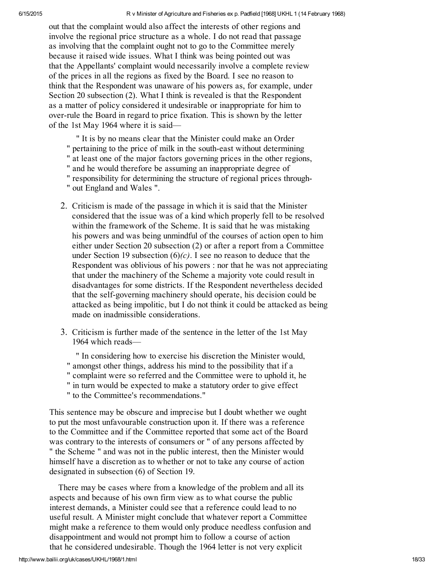out that the complaint would also affect the interests of other regions and involve the regional price structure as a whole. I do not read that passage as involving that the complaint ought not to go to the Committee merely because it raised wide issues. What I think was being pointed out was that the Appellants' complaint would necessarily involve a complete review of the prices in all the regions as fixed by the Board. I see no reason to think that the Respondent was unaware of his powers as, for example, under Section 20 subsection (2). What I think is revealed is that the Respondent as a matter of policy considered it undesirable or inappropriate for him to over-rule the Board in regard to price fixation. This is shown by the letter of the 1st May 1964 where it is said—

" It is by no means clear that the Minister could make an Order " pertaining to the price of milk in the southeast without determining " at least one of the major factors governing prices in the other regions, " and he would therefore be assuming an inappropriate degree of " responsibility for determining the structure of regional prices through " out England and Wales ".

- 2. Criticism is made of the passage in which it is said that the Minister considered that the issue was of a kind which properly fell to be resolved within the framework of the Scheme. It is said that he was mistaking his powers and was being unmindful of the courses of action open to him either under Section 20 subsection (2) or after a report from a Committee under Section 19 subsection  $(6)(c)$ . I see no reason to deduce that the Respondent was oblivious of his powers : nor that he was not appreciating that under the machinery of the Scheme a majority vote could result in disadvantages for some districts. If the Respondent nevertheless decided that the self-governing machinery should operate, his decision could be attacked as being impolitic, but I do not think it could be attacked as being made on inadmissible considerations.
- 3. Criticism is further made of the sentence in the letter of the 1st May 1964 which reads—

" In considering how to exercise his discretion the Minister would, " amongst other things, address his mind to the possibility that if a " complaint were so referred and the Committee were to uphold it, he " in turn would be expected to make a statutory order to give effect " to the Committee's recommendations."

This sentence may be obscure and imprecise but I doubt whether we ought to put the most unfavourable construction upon it. If there was a reference to the Committee and if the Committee reported that some act of the Board was contrary to the interests of consumers or " of any persons affected by " the Scheme " and was not in the public interest, then the Minister would himself have a discretion as to whether or not to take any course of action designated in subsection (6) of Section 19.

There may be cases where from a knowledge of the problem and all its aspects and because of his own firm view as to what course the public interest demands, a Minister could see that a reference could lead to no useful result. A Minister might conclude that whatever report a Committee might make a reference to them would only produce needless confusion and disappointment and would not prompt him to follow a course of action that he considered undesirable. Though the 1964 letter is not very explicit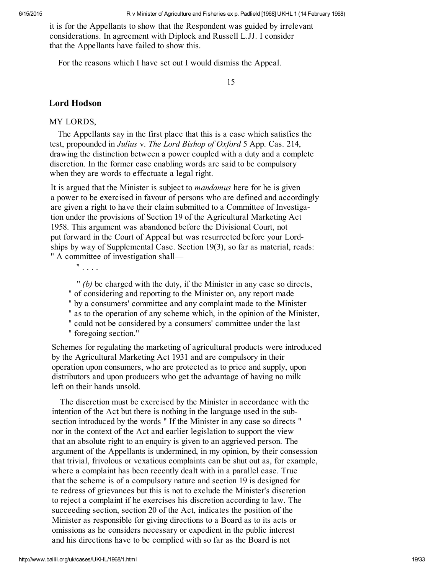it is for the Appellants to show that the Respondent was guided by irrelevant considerations. In agreement with Diplock and Russell L.JJ. I consider that the Appellants have failed to show this.

For the reasons which I have set out I would dismiss the Appeal.

15

## Lord Hodson

## MY LORDS,

The Appellants say in the first place that this is a case which satisfies the test, propounded in Julius v. The Lord Bishop of Oxford 5 App. Cas. 214, drawing the distinction between a power coupled with a duty and a complete discretion. In the former case enabling words are said to be compulsory when they are words to effectuate a legal right.

It is argued that the Minister is subject to mandamus here for he is given a power to be exercised in favour of persons who are defined and accordingly are given a right to have their claim submitted to a Committee of Investigation under the provisions of Section 19 of the Agricultural Marketing Act 1958. This argument was abandoned before the Divisional Court, not put forward in the Court of Appeal but was resurrected before your Lordships by way of Supplemental Case. Section 19(3), so far as material, reads: " A committee of investigation shall—

 $"$  . . . .

 $''$  (b) be charged with the duty, if the Minister in any case so directs, " of considering and reporting to the Minister on, any report made " by a consumers' committee and any complaint made to the Minister " as to the operation of any scheme which, in the opinion of the Minister, " could not be considered by a consumers' committee under the last " foregoing section."

Schemes for regulating the marketing of agricultural products were introduced by the Agricultural Marketing Act 1931 and are compulsory in their operation upon consumers, who are protected as to price and supply, upon distributors and upon producers who get the advantage of having no milk left on their hands unsold.

The discretion must be exercised by the Minister in accordance with the intention of the Act but there is nothing in the language used in the subsection introduced by the words " If the Minister in any case so directs " nor in the context of the Act and earlier legislation to support the view that an absolute right to an enquiry is given to an aggrieved person. The argument of the Appellants is undermined, in my opinion, by their consession that trivial, frivolous or vexatious complaints can be shut out as, for example, where a complaint has been recently dealt with in a parallel case. True that the scheme is of a compulsory nature and section 19 is designed for te redress of grievances but this is not to exclude the Minister's discretion to reject a complaint if he exercises his discretion according to law. The succeeding section, section 20 of the Act, indicates the position of the Minister as responsible for giving directions to a Board as to its acts or omissions as he considers necessary or expedient in the public interest and his directions have to be complied with so far as the Board is not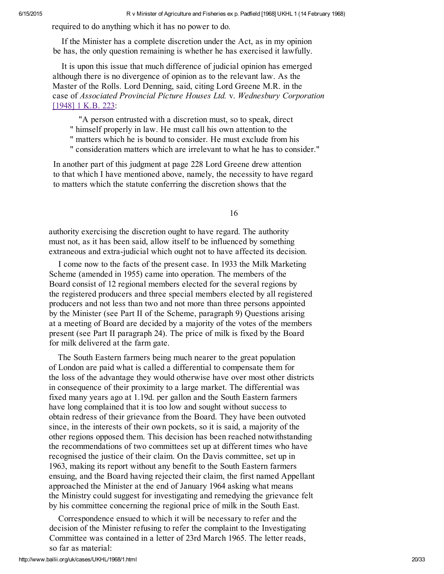required to do anything which it has no power to do.

If the Minister has a complete discretion under the Act, as in my opinion be has, the only question remaining is whether he has exercised it lawfully.

It is upon this issue that much difference of judicial opinion has emerged although there is no divergence of opinion as to the relevant law. As the Master of the Rolls. Lord Denning, said, citing Lord Greene M.R. in the case of Associated Provincial Picture Houses Ltd. v. Wednesbury Corporation [\[1948\]](http://www.bailii.org/ew/cases/EWCA/Civ/1947/1.html) 1 K.B. 223:

"A person entrusted with a discretion must, so to speak, direct

- " himself properly in law. He must call his own attention to the
- " matters which he is bound to consider. He must exclude from his
- " consideration matters which are irrelevant to what he has to consider."

In another part of this judgment at page 228 Lord Greene drew attention to that which I have mentioned above, namely, the necessity to have regard to matters which the statute conferring the discretion shows that the

16

authority exercising the discretion ought to have regard. The authority must not, as it has been said, allow itself to be influenced by something extraneous and extra-judicial which ought not to have affected its decision.

I come now to the facts of the present case. In 1933 the Milk Marketing Scheme (amended in 1955) came into operation. The members of the Board consist of 12 regional members elected for the several regions by the registered producers and three special members elected by all registered producers and not less than two and not more than three persons appointed by the Minister (see Part II of the Scheme, paragraph 9) Questions arising at a meeting of Board are decided by a majority of the votes of the members present (see Part II paragraph 24). The price of milk is fixed by the Board for milk delivered at the farm gate.

The South Eastern farmers being much nearer to the great population of London are paid what is called a differential to compensate them for the loss of the advantage they would otherwise have over most other districts in consequence of their proximity to a large market. The differential was fixed many years ago at 1.19d. per gallon and the South Eastern farmers have long complained that it is too low and sought without success to obtain redress of their grievance from the Board. They have been outvoted since, in the interests of their own pockets, so it is said, a majority of the other regions opposed them. This decision has been reached notwithstanding the recommendations of two committees set up at different times who have recognised the justice of their claim. On the Davis committee, set up in 1963, making its report without any benefit to the South Eastern farmers ensuing, and the Board having rejected their claim, the first named Appellant approached the Minister at the end of January 1964 asking what means the Ministry could suggest for investigating and remedying the grievance felt by his committee concerning the regional price of milk in the South East.

Correspondence ensued to which it will be necessary to refer and the decision of the Minister refusing to refer the complaint to the Investigating Committee was contained in a letter of 23rd March 1965. The letter reads, so far as material: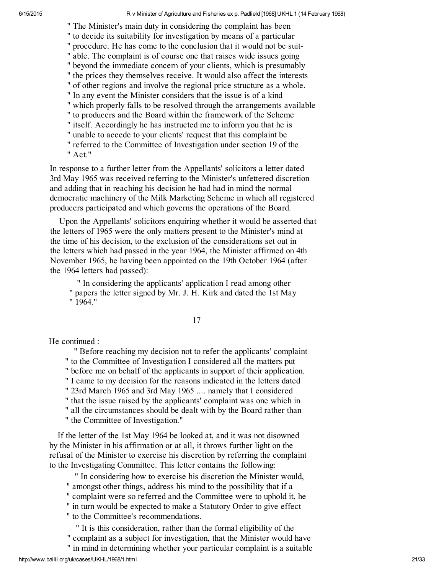- " The Minister's main duty in considering the complaint has been
- " to decide its suitability for investigation by means of a particular
- " procedure. He has come to the conclusion that it would not be suit
- " able. The complaint is of course one that raises wide issues going
- " beyond the immediate concern of your clients, which is presumably
- " the prices they themselves receive. It would also affect the interests
- " of other regions and involve the regional price structure as a whole.
- " In any event the Minister considers that the issue is of a kind
- " which properly falls to be resolved through the arrangements available
- " to producers and the Board within the framework of the Scheme
- " itself. Accordingly he has instructed me to inform you that he is
- " unable to accede to your clients' request that this complaint be
- " referred to the Committee of Investigation under section 19 of the
- " Act."

In response to a further letter from the Appellants' solicitors a letter dated 3rd May 1965 was received referring to the Minister's unfettered discretion and adding that in reaching his decision he had had in mind the normal democratic machinery of the Milk Marketing Scheme in which all registered producers participated and which governs the operations of the Board.

Upon the Appellants' solicitors enquiring whether it would be asserted that the letters of 1965 were the only matters present to the Minister's mind at the time of his decision, to the exclusion of the considerations set out in the letters which had passed in the year 1964, the Minister affirmed on 4th November 1965, he having been appointed on the 19th October 1964 (after the 1964 letters had passed):

" In considering the applicants' application I read among other " papers the letter signed by Mr. J. H. Kirk and dated the 1st May " 1964."

17

He continued :

" Before reaching my decision not to refer the applicants' complaint " to the Committee of Investigation I considered all the matters put

- " before me on behalf of the applicants in support of their application.
- " I came to my decision for the reasons indicated in the letters dated
- " 23rd March 1965 and 3rd May 1965 .... namely that I considered
- " that the issue raised by the applicants' complaint was one which in
- " all the circumstances should be dealt with by the Board rather than
- 

" the Committee of Investigation."

If the letter of the 1st May 1964 be looked at, and it was not disowned by the Minister in his affirmation or at all, it throws further light on the refusal of the Minister to exercise his discretion by referring the complaint to the Investigating Committee. This letter contains the following:

" In considering how to exercise his discretion the Minister would, " amongst other things, address his mind to the possibility that if a

- " complaint were so referred and the Committee were to uphold it, he
- " in turn would be expected to make a Statutory Order to give effect
- " to the Committee's recommendations.

" It is this consideration, rather than the formal eligibility of the

- " complaint as a subject for investigation, that the Minister would have
- " in mind in determining whether your particular complaint is a suitable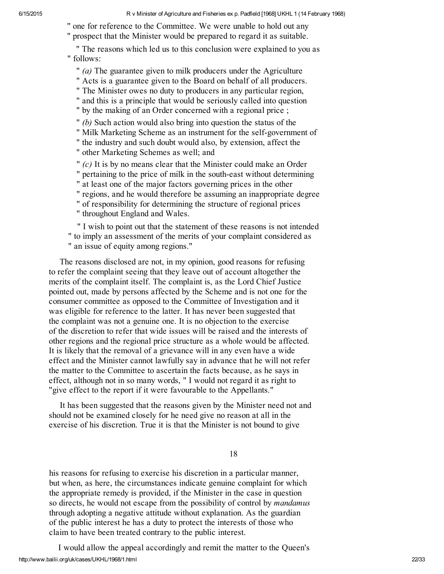- " one for reference to the Committee. We were unable to hold out any
- " prospect that the Minister would be prepared to regard it as suitable.
- " The reasons which led us to this conclusion were explained to you as " follows:
	- " (a) The guarantee given to milk producers under the Agriculture
	- " Acts is a guarantee given to the Board on behalf of all producers.
	- " The Minister owes no duty to producers in any particular region,
	- " and this is a principle that would be seriously called into question
	- " by the making of an Order concerned with a regional price ;
	- " (b) Such action would also bring into question the status of the
	- " Milk Marketing Scheme as an instrument for the self-government of
	- " the industry and such doubt would also, by extension, affect the
	- " other Marketing Schemes as well; and
	- "  $(c)$  It is by no means clear that the Minister could make an Order
	- " pertaining to the price of milk in the southeast without determining
	- " at least one of the major factors governing prices in the other
	- " regions, and he would therefore be assuming an inappropriate degree
	- " of responsibility for determining the structure of regional prices
	- " throughout England and Wales.
- " I wish to point out that the statement of these reasons is not intended " to imply an assessment of the merits of your complaint considered as " an issue of equity among regions."

The reasons disclosed are not, in my opinion, good reasons for refusing to refer the complaint seeing that they leave out of account altogether the merits of the complaint itself. The complaint is, as the Lord Chief Justice pointed out, made by persons affected by the Scheme and is not one for the consumer committee as opposed to the Committee of Investigation and it was eligible for reference to the latter. It has never been suggested that the complaint was not a genuine one. It is no objection to the exercise of the discretion to refer that wide issues will be raised and the interests of other regions and the regional price structure as a whole would be affected. It is likely that the removal of a grievance will in any even have a wide effect and the Minister cannot lawfully say in advance that he will not refer the matter to the Committee to ascertain the facts because, as he says in effect, although not in so many words, " I would not regard it as right to "give effect to the report if it were favourable to the Appellants."

It has been suggested that the reasons given by the Minister need not and should not be examined closely for he need give no reason at all in the exercise of his discretion. True it is that the Minister is not bound to give

#### 18

his reasons for refusing to exercise his discretion in a particular manner, but when, as here, the circumstances indicate genuine complaint for which the appropriate remedy is provided, if the Minister in the case in question so directs, he would not escape from the possibility of control by *mandamus* through adopting a negative attitude without explanation. As the guardian of the public interest he has a duty to protect the interests of those who claim to have been treated contrary to the public interest.

http://www.bailii.org/uk/cases/UKHL/1968/1.html 22/33 I would allow the appeal accordingly and remit the matter to the Queen's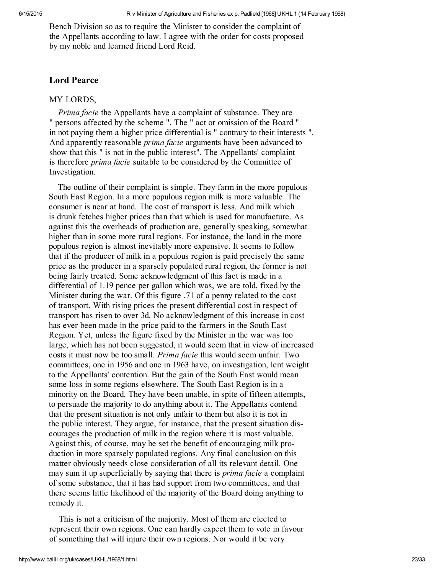Bench Division so as to require the Minister to consider the complaint of the Appellants according to law. I agree with the order for costs proposed by my noble and learned friend Lord Reid.

### Lord Pearce

#### MY LORDS,

Prima facie the Appellants have a complaint of substance. They are " persons affected by the scheme ". The " act or omission of the Board " in not paying them a higher price differential is " contrary to their interests ". And apparently reasonable *prima facie* arguments have been advanced to show that this " is not in the public interest". The Appellants' complaint is therefore prima facie suitable to be considered by the Committee of Investigation.

The outline of their complaint is simple. They farm in the more populous South East Region. In a more populous region milk is more valuable. The consumer is near at hand. The cost of transport is less. And milk which is drunk fetches higher prices than that which is used for manufacture. As against this the overheads of production are, generally speaking, somewhat higher than in some more rural regions. For instance, the land in the more populous region is almost inevitably more expensive. It seems to follow that if the producer of milk in a populous region is paid precisely the same price as the producer in a sparsely populated rural region, the former is not being fairly treated. Some acknowledgment of this fact is made in a differential of 1.19 pence per gallon which was, we are told, fixed by the Minister during the war. Of this figure .71 of a penny related to the cost of transport. With rising prices the present differential cost in respect of transport has risen to over 3d. No acknowledgment of this increase in cost has ever been made in the price paid to the farmers in the South East Region. Yet, unless the figure fixed by the Minister in the war was too large, which has not been suggested, it would seem that in view of increased costs it must now be too small. Prima facie this would seem unfair. Two committees, one in 1956 and one in 1963 have, on investigation, lent weight to the Appellants' contention. But the gain of the South East would mean some loss in some regions elsewhere. The South East Region is in a minority on the Board. They have been unable, in spite of fifteen attempts, to persuade the majority to do anything about it. The Appellants contend that the present situation is not only unfair to them but also it is not in the public interest. They argue, for instance, that the present situation discourages the production of milk in the region where it is most valuable. Against this, of course, may be set the benefit of encouraging milk production in more sparsely populated regions. Any final conclusion on this matter obviously needs close consideration of all its relevant detail. One may sum it up superficially by saying that there is *prima facie* a complaint of some substance, that it has had support from two committees, and that there seems little likelihood of the majority of the Board doing anything to remedy it.

This is not a criticism of the majority. Most of them are elected to represent their own regions. One can hardly expect them to vote in favour of something that will injure their own regions. Nor would it be very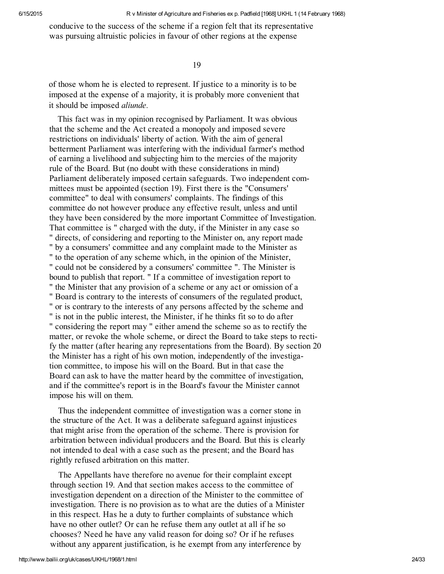conducive to the success of the scheme if a region felt that its representative was pursuing altruistic policies in favour of other regions at the expense

19

of those whom he is elected to represent. If justice to a minority is to be imposed at the expense of a majority, it is probably more convenient that it should be imposed aliunde.

This fact was in my opinion recognised by Parliament. It was obvious that the scheme and the Act created a monopoly and imposed severe restrictions on individuals' liberty of action. With the aim of general betterment Parliament was interfering with the individual farmer's method of earning a livelihood and subjecting him to the mercies of the majority rule of the Board. But (no doubt with these considerations in mind) Parliament deliberately imposed certain safeguards. Two independent committees must be appointed (section 19). First there is the "Consumers' committee" to deal with consumers' complaints. The findings of this committee do not however produce any effective result, unless and until they have been considered by the more important Committee of Investigation. That committee is " charged with the duty, if the Minister in any case so " directs, of considering and reporting to the Minister on, any report made " by a consumers' committee and any complaint made to the Minister as " to the operation of any scheme which, in the opinion of the Minister, " could not be considered by a consumers' committee ". The Minister is bound to publish that report. " If a committee of investigation report to " the Minister that any provision of a scheme or any act or omission of a " Board is contrary to the interests of consumers of the regulated product, " or is contrary to the interests of any persons affected by the scheme and " is not in the public interest, the Minister, if he thinks fit so to do after " considering the report may " either amend the scheme so as to rectify the matter, or revoke the whole scheme, or direct the Board to take steps to rectify the matter (after hearing any representations from the Board). By section 20 the Minister has a right of his own motion, independently of the investigation committee, to impose his will on the Board. But in that case the Board can ask to have the matter heard by the committee of investigation, and if the committee's report is in the Board's favour the Minister cannot impose his will on them.

Thus the independent committee of investigation was a corner stone in the structure of the Act. It was a deliberate safeguard against injustices that might arise from the operation of the scheme. There is provision for arbitration between individual producers and the Board. But this is clearly not intended to deal with a case such as the present; and the Board has rightly refused arbitration on this matter.

The Appellants have therefore no avenue for their complaint except through section 19. And that section makes access to the committee of investigation dependent on a direction of the Minister to the committee of investigation. There is no provision as to what are the duties of a Minister in this respect. Has he a duty to further complaints of substance which have no other outlet? Or can he refuse them any outlet at all if he so chooses? Need he have any valid reason for doing so? Or if he refuses without any apparent justification, is he exempt from any interference by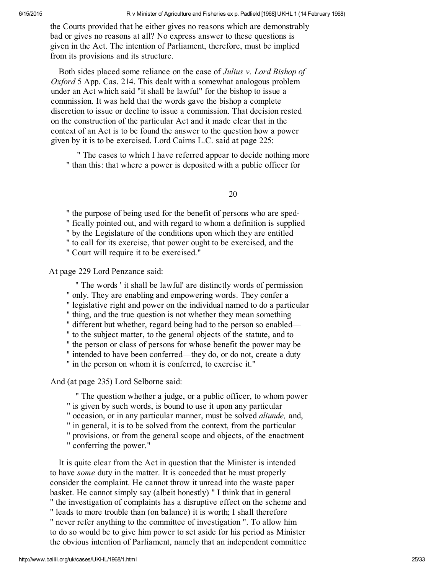the Courts provided that he either gives no reasons which are demonstrably bad or gives no reasons at all? No express answer to these questions is given in the Act. The intention of Parliament, therefore, must be implied from its provisions and its structure.

Both sides placed some reliance on the case of Julius v. Lord Bishop of Oxford 5 App. Cas. 214. This dealt with a somewhat analogous problem under an Act which said "it shall be lawful" for the bishop to issue a commission. It was held that the words gave the bishop a complete discretion to issue or decline to issue a commission. That decision rested on the construction of the particular Act and it made clear that in the context of an Act is to be found the answer to the question how a power given by it is to be exercised. Lord Cairns L.C. said at page 225:

" The cases to which I have referred appear to decide nothing more " than this: that where a power is deposited with a public officer for

20

" the purpose of being used for the benefit of persons who are sped

" fically pointed out, and with regard to whom a definition is supplied

" by the Legislature of the conditions upon which they are entitled

" to call for its exercise, that power ought to be exercised, and the

" Court will require it to be exercised."

At page 229 Lord Penzance said:

" The words ' it shall be lawful' are distinctly words of permission " only. They are enabling and empowering words. They confer a " legislative right and power on the individual named to do a particular

" thing, and the true question is not whether they mean something

" different but whether, regard being had to the person so enabled—

" to the subject matter, to the general objects of the statute, and to

" the person or class of persons for whose benefit the power may be

" intended to have been conferred—they do, or do not, create a duty

" in the person on whom it is conferred, to exercise it."

And (at page 235) Lord Selborne said:

" The question whether a judge, or a public officer, to whom power

" is given by such words, is bound to use it upon any particular

" occasion, or in any particular manner, must be solved aliunde, and,

" in general, it is to be solved from the context, from the particular

" provisions, or from the general scope and objects, of the enactment

" conferring the power."

It is quite clear from the Act in question that the Minister is intended to have some duty in the matter. It is conceded that he must properly consider the complaint. He cannot throw it unread into the waste paper basket. He cannot simply say (albeit honestly) " I think that in general " the investigation of complaints has a disruptive effect on the scheme and " leads to more trouble than (on balance) it is worth; I shall therefore " never refer anything to the committee of investigation ". To allow him to do so would be to give him power to set aside for his period as Minister the obvious intention of Parliament, namely that an independent committee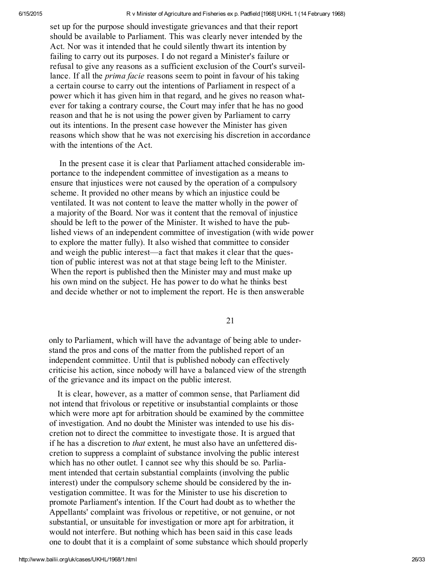set up for the purpose should investigate grievances and that their report should be available to Parliament. This was clearly never intended by the Act. Nor was it intended that he could silently thwart its intention by failing to carry out its purposes. I do not regard a Minister's failure or refusal to give any reasons as a sufficient exclusion of the Court's surveillance. If all the *prima facie* reasons seem to point in favour of his taking a certain course to carry out the intentions of Parliament in respect of a power which it has given him in that regard, and he gives no reason whatever for taking a contrary course, the Court may infer that he has no good reason and that he is not using the power given by Parliament to carry out its intentions. In the present case however the Minister has given reasons which show that he was not exercising his discretion in accordance with the intentions of the Act.

In the present case it is clear that Parliament attached considerable importance to the independent committee of investigation as a means to ensure that injustices were not caused by the operation of a compulsory scheme. It provided no other means by which an injustice could be ventilated. It was not content to leave the matter wholly in the power of a majority of the Board. Nor was it content that the removal of injustice should be left to the power of the Minister. It wished to have the published views of an independent committee of investigation (with wide power to explore the matter fully). It also wished that committee to consider and weigh the public interest—a fact that makes it clear that the question of public interest was not at that stage being left to the Minister. When the report is published then the Minister may and must make up his own mind on the subject. He has power to do what he thinks best and decide whether or not to implement the report. He is then answerable

21

only to Parliament, which will have the advantage of being able to understand the pros and cons of the matter from the published report of an independent committee. Until that is published nobody can effectively criticise his action, since nobody will have a balanced view of the strength of the grievance and its impact on the public interest.

It is clear, however, as a matter of common sense, that Parliament did not intend that frivolous or repetitive or insubstantial complaints or those which were more apt for arbitration should be examined by the committee of investigation. And no doubt the Minister was intended to use his discretion not to direct the committee to investigate those. It is argued that if he has a discretion to that extent, he must also have an unfettered discretion to suppress a complaint of substance involving the public interest which has no other outlet. I cannot see why this should be so. Parliament intended that certain substantial complaints (involving the public interest) under the compulsory scheme should be considered by the investigation committee. It was for the Minister to use his discretion to promote Parliament's intention. If the Court had doubt as to whether the Appellants' complaint was frivolous or repetitive, or not genuine, or not substantial, or unsuitable for investigation or more apt for arbitration, it would not interfere. But nothing which has been said in this case leads one to doubt that it is a complaint of some substance which should properly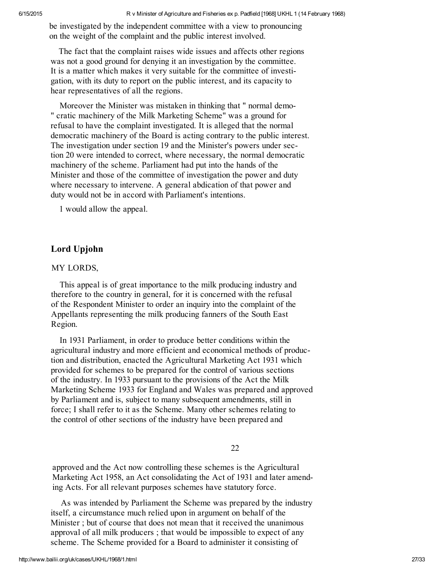be investigated by the independent committee with a view to pronouncing on the weight of the complaint and the public interest involved.

The fact that the complaint raises wide issues and affects other regions was not a good ground for denying it an investigation by the committee. It is a matter which makes it very suitable for the committee of investigation, with its duty to report on the public interest, and its capacity to hear representatives of all the regions.

Moreover the Minister was mistaken in thinking that " normal demo " cratic machinery of the Milk Marketing Scheme" was a ground for refusal to have the complaint investigated. It is alleged that the normal democratic machinery of the Board is acting contrary to the public interest. The investigation under section 19 and the Minister's powers under section 20 were intended to correct, where necessary, the normal democratic machinery of the scheme. Parliament had put into the hands of the Minister and those of the committee of investigation the power and duty where necessary to intervene. A general abdication of that power and duty would not be in accord with Parliament's intentions.

1 would allow the appeal.

#### Lord Upjohn

#### MY LORDS,

This appeal is of great importance to the milk producing industry and therefore to the country in general, for it is concerned with the refusal of the Respondent Minister to order an inquiry into the complaint of the Appellants representing the milk producing fanners of the South East Region.

In 1931 Parliament, in order to produce better conditions within the agricultural industry and more efficient and economical methods of production and distribution, enacted the Agricultural Marketing Act 1931 which provided for schemes to be prepared for the control of various sections of the industry. In 1933 pursuant to the provisions of the Act the Milk Marketing Scheme 1933 for England and Wales was prepared and approved by Parliament and is, subject to many subsequent amendments, still in force; I shall refer to it as the Scheme. Many other schemes relating to the control of other sections of the industry have been prepared and

#### 22

approved and the Act now controlling these schemes is the Agricultural Marketing Act 1958, an Act consolidating the Act of 1931 and later amending Acts. For all relevant purposes schemes have statutory force.

As was intended by Parliament the Scheme was prepared by the industry itself, a circumstance much relied upon in argument on behalf of the Minister ; but of course that does not mean that it received the unanimous approval of all milk producers ; that would be impossible to expect of any scheme. The Scheme provided for a Board to administer it consisting of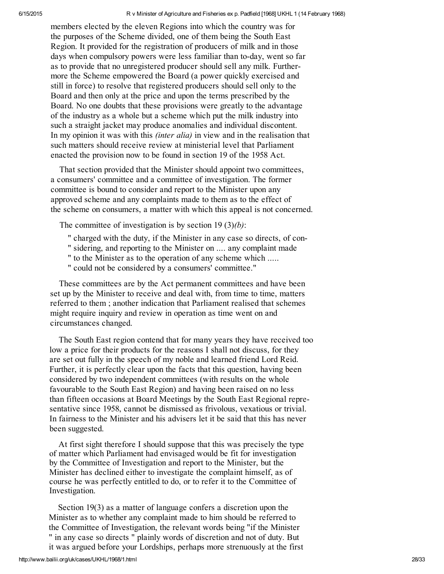members elected by the eleven Regions into which the country was for the purposes of the Scheme divided, one of them being the South East Region. It provided for the registration of producers of milk and in those days when compulsory powers were less familiar than to-day, went so far as to provide that no unregistered producer should sell any milk. Furthermore the Scheme empowered the Board (a power quickly exercised and still in force) to resolve that registered producers should sell only to the Board and then only at the price and upon the terms prescribed by the Board. No one doubts that these provisions were greatly to the advantage of the industry as a whole but a scheme which put the milk industry into such a straight jacket may produce anomalies and individual discontent. In my opinion it was with this *(inter alia)* in view and in the realisation that such matters should receive review at ministerial level that Parliament enacted the provision now to be found in section 19 of the 1958 Act.

That section provided that the Minister should appoint two committees, a consumers' committee and a committee of investigation. The former committee is bound to consider and report to the Minister upon any approved scheme and any complaints made to them as to the effect of the scheme on consumers, a matter with which this appeal is not concerned.

The committee of investigation is by section 19  $(3)(b)$ :

- " charged with the duty, if the Minister in any case so directs, of con
- " sidering, and reporting to the Minister on .... any complaint made
- " to the Minister as to the operation of any scheme which .....
- " could not be considered by a consumers' committee."

These committees are by the Act permanent committees and have been set up by the Minister to receive and deal with, from time to time, matters referred to them ; another indication that Parliament realised that schemes might require inquiry and review in operation as time went on and circumstances changed.

The South East region contend that for many years they have received too low a price for their products for the reasons I shall not discuss, for they are set out fully in the speech of my noble and learned friend Lord Reid. Further, it is perfectly clear upon the facts that this question, having been considered by two independent committees (with results on the whole favourable to the South East Region) and having been raised on no less than fifteen occasions at Board Meetings by the South East Regional representative since 1958, cannot be dismissed as frivolous, vexatious or trivial. In fairness to the Minister and his advisers let it be said that this has never been suggested.

At first sight therefore I should suppose that this was precisely the type of matter which Parliament had envisaged would be fit for investigation by the Committee of Investigation and report to the Minister, but the Minister has declined either to investigate the complaint himself, as of course he was perfectly entitled to do, or to refer it to the Committee of Investigation.

Section 19(3) as a matter of language confers a discretion upon the Minister as to whether any complaint made to him should be referred to the Committee of Investigation, the relevant words being "if the Minister " in any case so directs " plainly words of discretion and not of duty. But it was argued before your Lordships, perhaps more strenuously at the first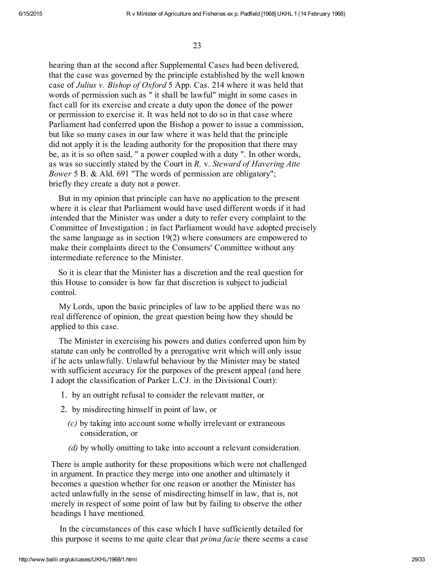23

hearing than at the second after Supplemental Cases had been delivered, that the case was governed by the principle established by the well known case of Julius v. Bishop of Oxford 5 App. Cas. 214 where it was held that words of permission such as " it shall be lawful" might in some cases in fact call for its exercise and create a duty upon the donee of the power or permission to exercise it. It was held not to do so in that case where Parliament had conferred upon the Bishop a power to issue a commission, but like so many cases in our law where it was held that the principle did not apply it is the leading authority for the proposition that there may be, as it is so often said, " a power coupled with a duty ". In other words, as was so succintly stated by the Court in R. v. Steward of Havering Atte Bower 5 B. & Ald. 691 "The words of permission are obligatory"; briefly they create a duty not a power.

But in my opinion that principle can have no application to the present where it is clear that Parliament would have used different words if it had intended that the Minister was under a duty to refer every complaint to the Committee of Investigation ; in fact Parliament would have adopted precisely the same language as in section 19(2) where consumers are empowered to make their complaints direct to the Consumers' Committee without any intermediate reference to the Minister.

So it is clear that the Minister has a discretion and the real question for this House to consider is how far that discretion is subject to judicial control.

My Lords, upon the basic principles of law to be applied there was no real difference of opinion, the great question being how they should be applied to this case.

The Minister in exercising his powers and duties conferred upon him by statute can only be controlled by a prerogative writ which will only issue if he acts unlawfully. Unlawful behaviour by the Minister may be stated with sufficient accuracy for the purposes of the present appeal (and here I adopt the classification of Parker L.CJ. in the Divisional Court):

- 1. by an outright refusal to consider the relevant matter, or
- 2. by misdirecting himself in point of law, or
	- (c) by taking into account some wholly irrelevant or extraneous consideration, or
	- (d) by wholly omitting to take into account a relevant consideration.

There is ample authority for these propositions which were not challenged in argument. In practice they merge into one another and ultimately it becomes a question whether for one reason or another the Minister has acted unlawfully in the sense of misdirecting himself in law, that is, not merely in respect of some point of law but by failing to observe the other headings I have mentioned.

In the circumstances of this case which I have sufficiently detailed for this purpose it seems to me quite clear that prima facie there seems a case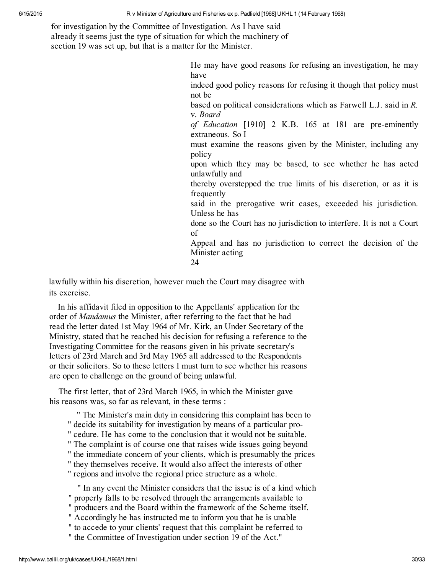6/15/2015 R v Minister of Agriculture and Fisheries ex p. Padfield [1968] UKHL 1 (14 February 1968)

for investigation by the Committee of Investigation. As I have said already it seems just the type of situation for which the machinery of section 19 was set up, but that is a matter for the Minister.

> He may have good reasons for refusing an investigation, he may have

> indeed good policy reasons for refusing it though that policy must not be

> based on political considerations which as Farwell L.J. said in R. v. Board

> of Education  $[1910]$  2 K.B. 165 at 181 are pre-eminently extraneous. So I

> must examine the reasons given by the Minister, including any policy

> upon which they may be based, to see whether he has acted unlawfully and

> thereby overstepped the true limits of his discretion, or as it is frequently

> said in the prerogative writ cases, exceeded his jurisdiction. Unless he has

> done so the Court has no jurisdiction to interfere. It is not a Court of

> Appeal and has no jurisdiction to correct the decision of the Minister acting

24

lawfully within his discretion, however much the Court may disagree with its exercise.

In his affidavit filed in opposition to the Appellants' application for the order of Mandamus the Minister, after referring to the fact that he had read the letter dated 1st May 1964 of Mr. Kirk, an Under Secretary of the Ministry, stated that he reached his decision for refusing a reference to the Investigating Committee for the reasons given in his private secretary's letters of 23rd March and 3rd May 1965 all addressed to the Respondents or their solicitors. So to these letters I must turn to see whether his reasons are open to challenge on the ground of being unlawful.

The first letter, that of 23rd March 1965, in which the Minister gave his reasons was, so far as relevant, in these terms :

" The Minister's main duty in considering this complaint has been to

" decide its suitability for investigation by means of a particular pro

- " cedure. He has come to the conclusion that it would not be suitable.
- " The complaint is of course one that raises wide issues going beyond
- " the immediate concern of your clients, which is presumably the prices
- " they themselves receive. It would also affect the interests of other
- " regions and involve the regional price structure as a whole.

" In any event the Minister considers that the issue is of a kind which " properly falls to be resolved through the arrangements available to " producers and the Board within the framework of the Scheme itself.

- " Accordingly he has instructed me to inform you that he is unable
- " to accede to your clients' request that this complaint be referred to
- 

" the Committee of Investigation under section 19 of the Act."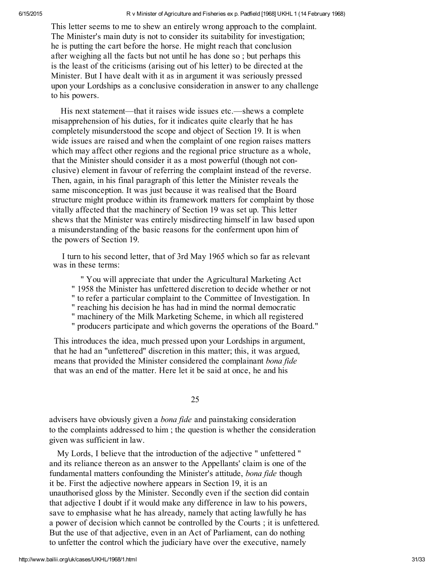This letter seems to me to shew an entirely wrong approach to the complaint. The Minister's main duty is not to consider its suitability for investigation; he is putting the cart before the horse. He might reach that conclusion after weighing all the facts but not until he has done so ; but perhaps this is the least of the criticisms (arising out of his letter) to be directed at the Minister. But I have dealt with it as in argument it was seriously pressed upon your Lordships as a conclusive consideration in answer to any challenge to his powers.

His next statement—that it raises wide issues etc.—shews a complete misapprehension of his duties, for it indicates quite clearly that he has completely misunderstood the scope and object of Section 19. It is when wide issues are raised and when the complaint of one region raises matters which may affect other regions and the regional price structure as a whole, that the Minister should consider it as a most powerful (though not conclusive) element in favour of referring the complaint instead of the reverse. Then, again, in his final paragraph of this letter the Minister reveals the same misconception. It was just because it was realised that the Board structure might produce within its framework matters for complaint by those vitally affected that the machinery of Section 19 was set up. This letter shews that the Minister was entirely misdirecting himself in law based upon a misunderstanding of the basic reasons for the conferment upon him of the powers of Section 19.

I turn to his second letter, that of 3rd May 1965 which so far as relevant was in these terms:

" You will appreciate that under the Agricultural Marketing Act

" 1958 the Minister has unfettered discretion to decide whether or not

" to refer a particular complaint to the Committee of Investigation. In

" reaching his decision he has had in mind the normal democratic

" machinery of the Milk Marketing Scheme, in which all registered

" producers participate and which governs the operations of the Board."

This introduces the idea, much pressed upon your Lordships in argument, that he had an "unfettered" discretion in this matter; this, it was argued, means that provided the Minister considered the complainant bona fide that was an end of the matter. Here let it be said at once, he and his

25

advisers have obviously given a bona fide and painstaking consideration to the complaints addressed to him ; the question is whether the consideration given was sufficient in law.

My Lords, I believe that the introduction of the adjective " unfettered " and its reliance thereon as an answer to the Appellants' claim is one of the fundamental matters confounding the Minister's attitude, bona fide though it be. First the adjective nowhere appears in Section 19, it is an unauthorised gloss by the Minister. Secondly even if the section did contain that adjective I doubt if it would make any difference in law to his powers, save to emphasise what he has already, namely that acting lawfully he has a power of decision which cannot be controlled by the Courts ; it is unfettered. But the use of that adjective, even in an Act of Parliament, can do nothing to unfetter the control which the judiciary have over the executive, namely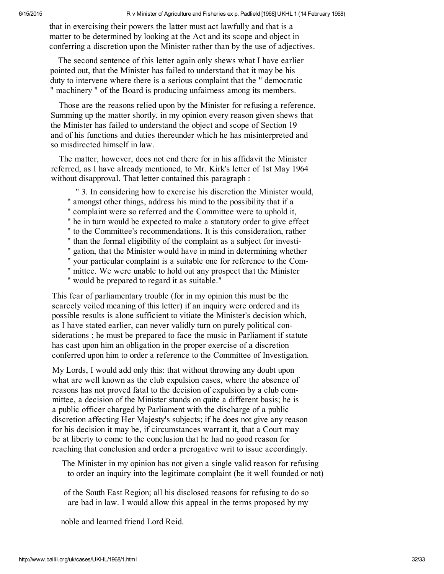that in exercising their powers the latter must act lawfully and that is a matter to be determined by looking at the Act and its scope and object in conferring a discretion upon the Minister rather than by the use of adjectives.

The second sentence of this letter again only shews what I have earlier pointed out, that the Minister has failed to understand that it may be his duty to intervene where there is a serious complaint that the " democratic " machinery " of the Board is producing unfairness among its members.

Those are the reasons relied upon by the Minister for refusing a reference. Summing up the matter shortly, in my opinion every reason given shews that the Minister has failed to understand the object and scope of Section 19 and of his functions and duties thereunder which he has misinterpreted and so misdirected himself in law.

The matter, however, does not end there for in his affidavit the Minister referred, as I have already mentioned, to Mr. Kirk's letter of 1st May 1964 without disapproval. That letter contained this paragraph :

" 3. In considering how to exercise his discretion the Minister would, " amongst other things, address his mind to the possibility that if a " complaint were so referred and the Committee were to uphold it, " he in turn would be expected to make a statutory order to give effect " to the Committee's recommendations. It is this consideration, rather " than the formal eligibility of the complaint as a subject for investi " gation, that the Minister would have in mind in determining whether " your particular complaint is a suitable one for reference to the Com " mittee. We were unable to hold out any prospect that the Minister " would be prepared to regard it as suitable."

This fear of parliamentary trouble (for in my opinion this must be the scarcely veiled meaning of this letter) if an inquiry were ordered and its possible results is alone sufficient to vitiate the Minister's decision which, as I have stated earlier, can never validly turn on purely political considerations ; he must be prepared to face the music in Parliament if statute has cast upon him an obligation in the proper exercise of a discretion conferred upon him to order a reference to the Committee of Investigation.

My Lords, I would add only this: that without throwing any doubt upon what are well known as the club expulsion cases, where the absence of reasons has not proved fatal to the decision of expulsion by a club committee, a decision of the Minister stands on quite a different basis; he is a public officer charged by Parliament with the discharge of a public discretion affecting Her Majesty's subjects; if he does not give any reason for his decision it may be, if circumstances warrant it, that a Court may be at liberty to come to the conclusion that he had no good reason for reaching that conclusion and order a prerogative writ to issue accordingly.

The Minister in my opinion has not given a single valid reason for refusing to order an inquiry into the legitimate complaint (be it well founded or not)

of the South East Region; all his disclosed reasons for refusing to do so are bad in law. I would allow this appeal in the terms proposed by my

noble and learned friend Lord Reid.